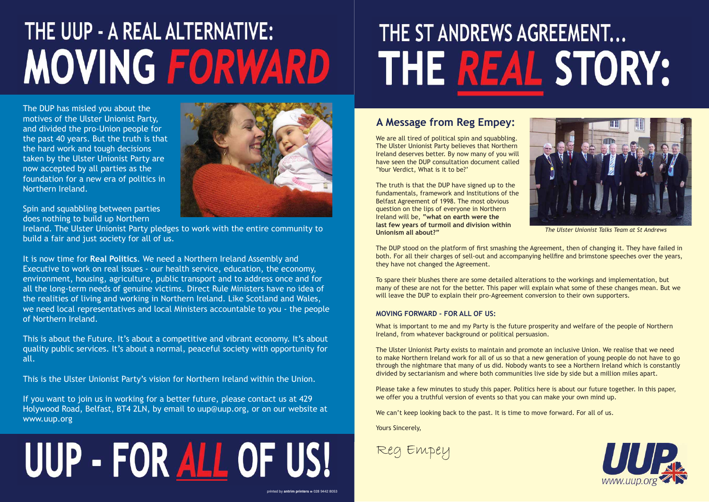## THE UUP - A REAL ALTERNATIVE: **MOVING FORWARD**

The DUP has misled you about the motives of the Ulster Unionist Party, and divided the pro-Union people for the past 40 years. But the truth is that the hard work and tough decisions taken by the Ulster Unionist Party are now accepted by all parties as the foundation for a new era of politics in Northern Ireland.

Spin and squabbling between parties does nothing to build up Northern

Ireland. The Ulster Unionist Party pledges to work with the entire community to build a fair and just society for all of us.

It is now time for **Real Politics**. We need a Northern Ireland Assembly and Executive to work on real issues - our health service, education, the economy, environment, housing, agriculture, public transport and to address once and for all the long-term needs of genuine victims. Direct Rule Ministers have no idea of the realities of living and working in Northern Ireland. Like Scotland and Wales, we need local representatives and local Ministers accountable to you - the people of Northern Ireland.

We are all tired of political spin and squabbling. The Ulster Unionist Party believes that Northern Ireland deserves better. By now many of you will have seen the DUP consultation document called 'Your Verdict, What is it to be?'

This is about the Future. It's about a competitive and vibrant economy. It's about quality public services. It's about a normal, peaceful society with opportunity for all.

The DUP stood on the platform of first smashing the Agreement, then of changing it. They have failed in both. For all their charges of sell-out and accompanying hellfire and brimstone speeches over the years, they have not changed the Agreement.

This is the Ulster Unionist Party's vision for Northern Ireland within the Union.

If you want to join us in working for a better future, please contact us at 429 Holywood Road, Belfast, BT4 2LN, by email to uup@uup.org, or on our website at www.uup.org

# UUP - FOR ALL OF US!

#### printed by **antrim printers** % 028 9442 8053

# THE ST ANDREWS AGREEMENT... THE REAL STORY:

#### **A Message from Reg Empey:**



The truth is that the DUP have signed up to the fundamentals, framework and Institutions of the Belfast Agreement of 1998. The most obvious question on the lips of everyone in Northern Ireland will be, **"what on earth were the last few years of turmoil and division within Unionism all about?"**

To spare their blushes there are some detailed alterations to the workings and implementation, but many of these are not for the better. This paper will explain what some of these changes mean. But we will leave the DUP to explain their pro-Agreement conversion to their own supporters.

#### **MOVING FORWARD - FOR ALL OF US:**

What is important to me and my Party is the future prosperity and welfare of the people of Northern Ireland, from whatever background or political persuasion.

The Ulster Unionist Party exists to maintain and promote an inclusive Union. We realise that we need to make Northern Ireland work for all of us so that a new generation of young people do not have to go through the nightmare that many of us did. Nobody wants to see a Northern Ireland which is constantly divided by sectarianism and where both communities live side by side but a million miles apart.

Please take a few minutes to study this paper. Politics here is about our future together. In this paper, we offer you a truthful version of events so that you can make your own mind up.

We can't keep looking back to the past. It is time to move forward. For all of us.

Yours Sincerely,



*The Ulster Unionist Talks Team at St Andrews*